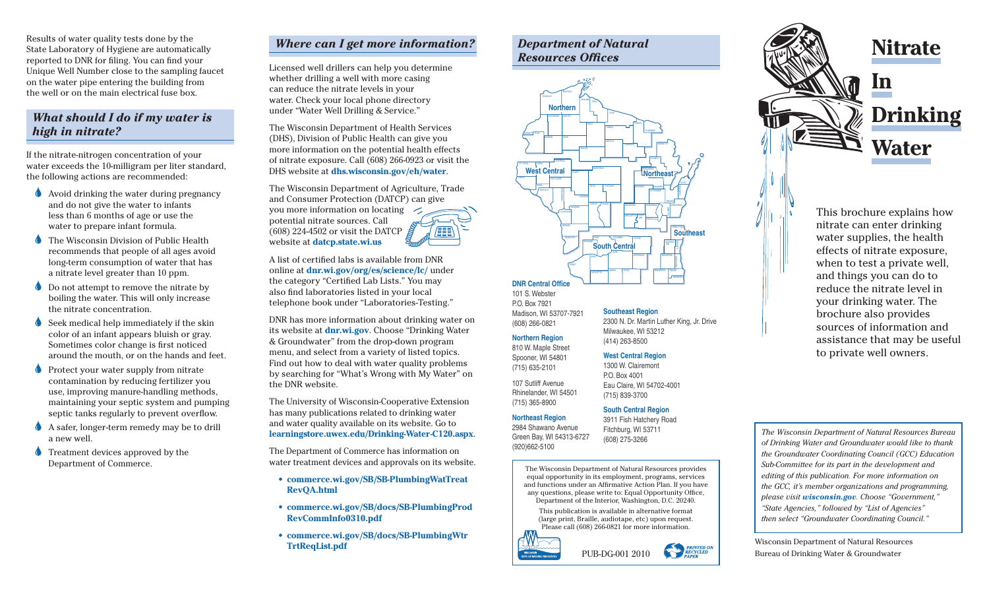Results of water quality tests done by the State Laboratory of Hygiene are automatically reported to DNR for filing. You can find your Unique Well Number close to the sampling faucet on the water pipe entering the building from the well or on the main electrical fuse box.

### *What should I do if my water is high in nitrate?*

If the nitrate-nitrogen concentration of your water exceeds the 10-milligram per liter standard, the following actions are recommended:

- Avoid drinking the water during pregnancy and do not give the water to infants less than 6 months of age or use the water to prepare infant formula.
- The Wisconsin Division of Public Health recommends that people of all ages avoid long-term consumption of water that has a nitrate level greater than 10 ppm.
- **O** Do not attempt to remove the nitrate by boiling the water. This will only increase the nitrate concentration.
- Seek medical help immediately if the skin color of an infant appears bluish or gray. Sometimes color change is first noticed around the mouth, or on the hands and feet.
- **Protect your water supply from nitrate** contamination by reducing fertilizer you use, improving manure-handling methods, maintaining your septic system and pumping septic tanks regularly to prevent overflow.
- A safer, longer-term remedy may be to drill a new well.
- Treatment devices approved by the Department of Commerce.

## *Where can I get more information?*

Licensed well drillers can help you determine whether drilling a well with more casing can reduce the nitrate levels in your water. Check your local phone directory under "Water Well Drilling & Service."

The Wisconsin Department of Health Services (DHS), Division of Public Health can give you more information on the potential health effects of nitrate exposure. Call (608) 266-0923 or visit the DHS website at **dhs.wisconsin.gov/eh/water**.

The Wisconsin Department of Agriculture, Trade and Consumer Protection (DATCP) can give you more information on locating potential nitrate sources. Call (608) 224-4502 or visit the DATCP **ABE** website at **datcp.state.wi.us**

A list of certified labs is available from DNR online at **dnr.wi.gov/org/es/science/lc/** under the category "Certified Lab Lists." You may also find laboratories listed in your local telephone book under "Laboratories-Testing."

DNR has more information about drinking water on its website at **dnr.wi.gov**. Choose "Drinking Water & Groundwater" from the drop-down program menu, and select from a variety of listed topics. Find out how to deal with water quality problems by searching for "What's Wrong with My Water" on the DNR website.

The University of Wisconsin-Cooperative Extension has many publications related to drinking water and water quality available on its website. Go to **learningstore.uwex.edu/Drinking-Water-C120.aspx**.

The Department of Commerce has information on water treatment devices and approvals on its website.

- **commerce.wi.gov/SB/SB-PlumbingWatTreat RevQA.html**
- **commerce.wi.gov/SB/docs/SB-PlumbingProd RevCommInfo0310.pdf**
- **commerce.wi.gov/SB/docs/SB-PlumbingWtr TrtReqList.pdf**

# *Department of Natural Resources Offices*



**Southeast Region** 

Milwaukee, WI 53212 (414) 263-8500 **West Central Region**  1300 W. Clairemont P.O. Box 4001

Eau Claire, WI 54702-4001 (715) 839-3700

Fitchburg, WI 53711 (608) 275-3266

2300 N. Dr. Martin Luther King, Jr. Drive

101 S. Webster

P.O. Box 7921 Madison, WI 53707-7921

(608) 266-0821 **Northern Region** 810 W. Maple Street

Spooner, WI 54801 (715) 635-2101 107 Sutliff Avenue

Rhinelander, WI 54501 (715) 365-8900

#### **Northeast Region South Central Region** 3911 Fish Hatchery Road

2984 Shawano Avenue Green Bay, WI 54313-6727 (920)662-5100

> The Wisconsin Department of Natural Resources provides equal opportunity in its employment, programs, services and functions under an Affirmative Action Plan. If you have any questions, please write to: Equal Opportunity Office, Department of the Interior, Washington, D.C. 20240.

This publication is available in alternative format (large print, Braille, audiotape, etc) upon request. Please call (608) 266-0821 for more information.

PUB-DG-001 2010

**PRINTED ON**<br>**RECYCLED** 

**RAD** 





This brochure explains how nitrate can enter drinking water supplies, the health effects of nitrate exposure, when to test a private well, and things you can do to reduce the nitrate level in your drinking water. The brochure also provides sources of information and assistance that may be useful to private well owners.

*The Wisconsin Department of Natural Resources Bureau of Drinking Water and Groundwater would like to thank the Groundwater Coordinating Council (GCC) Education Sub-Committee for its part in the development and editing of this publication. For more information on the GCC, it's member organizations and programming, please visit wisconsin.gov. Choose "Government," "State Agencies," followed by "List of Agencies" then select "Groundwater Coordinating Council."*

Wisconsin Department of Natural Resources Bureau of Drinking Water & Groundwater